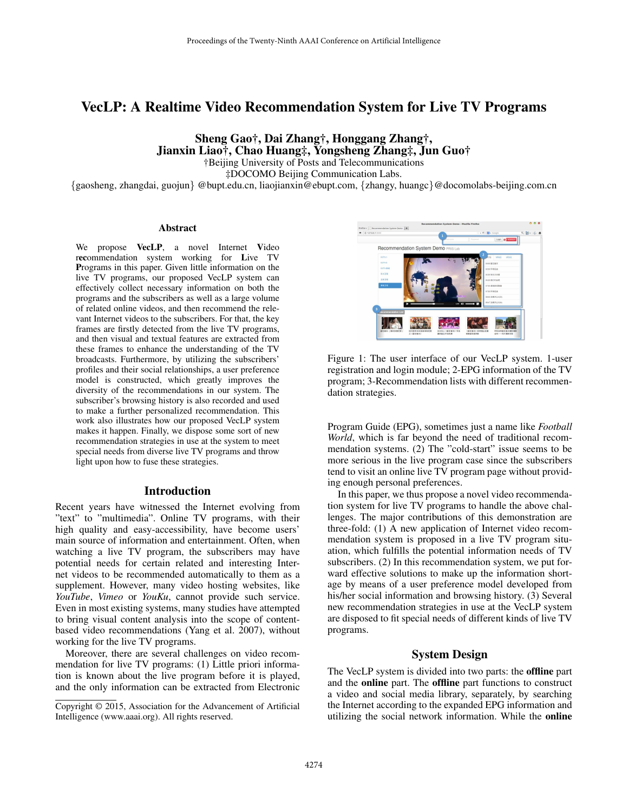# VecLP: A Realtime Video Recommendation System for Live TV Programs

Sheng Gao†, Dai Zhang†, Honggang Zhang†, Jianxin Liao†, Chao Huang‡, Yongsheng Zhang‡, Jun Guo†

†Beijing University of Posts and Telecommunications

‡DOCOMO Beijing Communication Labs.

{gaosheng, zhangdai, guojun} @bupt.edu.cn, liaojianxin@ebupt.com, {zhangy, huangc}@docomolabs-beijing.com.cn

#### Abstract

We propose VecLP, a novel Internet Video recommendation system working for Live TV Programs in this paper. Given little information on the live TV programs, our proposed VecLP system can effectively collect necessary information on both the programs and the subscribers as well as a large volume of related online videos, and then recommend the relevant Internet videos to the subscribers. For that, the key frames are firstly detected from the live TV programs, and then visual and textual features are extracted from these frames to enhance the understanding of the TV broadcasts. Furthermore, by utilizing the subscribers' profiles and their social relationships, a user preference model is constructed, which greatly improves the diversity of the recommendations in our system. The subscriber's browsing history is also recorded and used to make a further personalized recommendation. This work also illustrates how our proposed VecLP system makes it happen. Finally, we dispose some sort of new recommendation strategies in use at the system to meet special needs from diverse live TV programs and throw light upon how to fuse these strategies.

## Introduction

Recent years have witnessed the Internet evolving from "text" to "multimedia". Online TV programs, with their high quality and easy-accessibility, have become users' main source of information and entertainment. Often, when watching a live TV program, the subscribers may have potential needs for certain related and interesting Internet videos to be recommended automatically to them as a supplement. However, many video hosting websites, like *YouTube*, *Vimeo* or *YouKu*, cannot provide such service. Even in most existing systems, many studies have attempted to bring visual content analysis into the scope of contentbased video recommendations (Yang et al. 2007), without working for the live TV programs.

Moreover, there are several challenges on video recommendation for live TV programs: (1) Little priori information is known about the live program before it is played, and the only information can be extracted from Electronic



Figure 1: The user interface of our VecLP system. 1-user registration and login module; 2-EPG information of the TV program; 3-Recommendation lists with different recommendation strategies.

Program Guide (EPG), sometimes just a name like *Football World*, which is far beyond the need of traditional recommendation systems. (2) The "cold-start" issue seems to be more serious in the live program case since the subscribers tend to visit an online live TV program page without providing enough personal preferences.

In this paper, we thus propose a novel video recommendation system for live TV programs to handle the above challenges. The major contributions of this demonstration are three-fold: (1) A new application of Internet video recommendation system is proposed in a live TV program situation, which fulfills the potential information needs of TV subscribers. (2) In this recommendation system, we put forward effective solutions to make up the information shortage by means of a user preference model developed from his/her social information and browsing history. (3) Several new recommendation strategies in use at the VecLP system are disposed to fit special needs of different kinds of live TV programs.

# System Design

The VecLP system is divided into two parts: the offline part and the online part. The offline part functions to construct a video and social media library, separately, by searching the Internet according to the expanded EPG information and utilizing the social network information. While the online

Copyright © 2015, Association for the Advancement of Artificial Intelligence (www.aaai.org). All rights reserved.